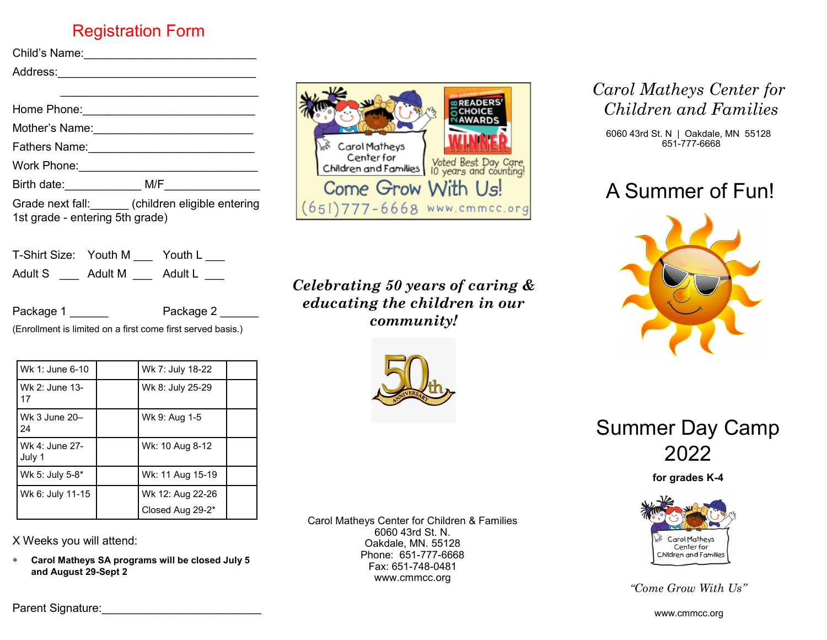### Registration Form

| Child's Name: |  |
|---------------|--|
| Address:      |  |
|               |  |

| Home Phone:                     |                                              |
|---------------------------------|----------------------------------------------|
| Mother's Name:                  |                                              |
| <b>Fathers Name:</b>            |                                              |
| Work Phone:                     |                                              |
| Birth date: <b>Example</b>      | M/F                                          |
| 1st grade - entering 5th grade) | Grade next fall: (children eligible entering |

| T-Shirt Size: Youth M |         | Youth L |
|-----------------------|---------|---------|
| Adult S               | Adult M | Adult L |

Package 1 \_\_\_\_\_\_ Package 2 \_\_\_\_\_\_

(Enrollment is limited on a first come first served basis.)

| Wk 1: June 6-10          | Wk 7: July 18-22                     |  |
|--------------------------|--------------------------------------|--|
| Wk 2: June 13-<br>17     | Wk 8: July 25-29                     |  |
| Wk 3 June 20-<br>24      | Wk 9: Aug 1-5                        |  |
| Wk 4: June 27-<br>July 1 | Wk: 10 Aug 8-12                      |  |
| Wk 5: July 5-8*          | Wk: 11 Aug 15-19                     |  |
| Wk 6: July 11-15         | Wk 12: Aug 22-26<br>Closed Aug 29-2* |  |

X Weeks you will attend:

 **Carol Matheys SA programs will be closed July 5 and August 29-Sept 2**



*Celebrating 50 years of caring & educating the children in our community!*



Carol Matheys Center for Children & Families 6060 43rd St. N. Oakdale, MN. 55128 Phone: 651-777-6668 Fax: 651-748-0481 www.cmmcc.org

# *Carol Matheys Center for Children and Families*

6060 43rd St. N | Oakdale, MN 55128 651-777-6668

# A Summer of Fun!





**for grades K-4**



*"Come Grow With Us"*

Parent Signature:\_\_\_\_\_\_\_\_\_\_\_\_\_\_\_\_\_\_\_\_\_\_\_\_\_